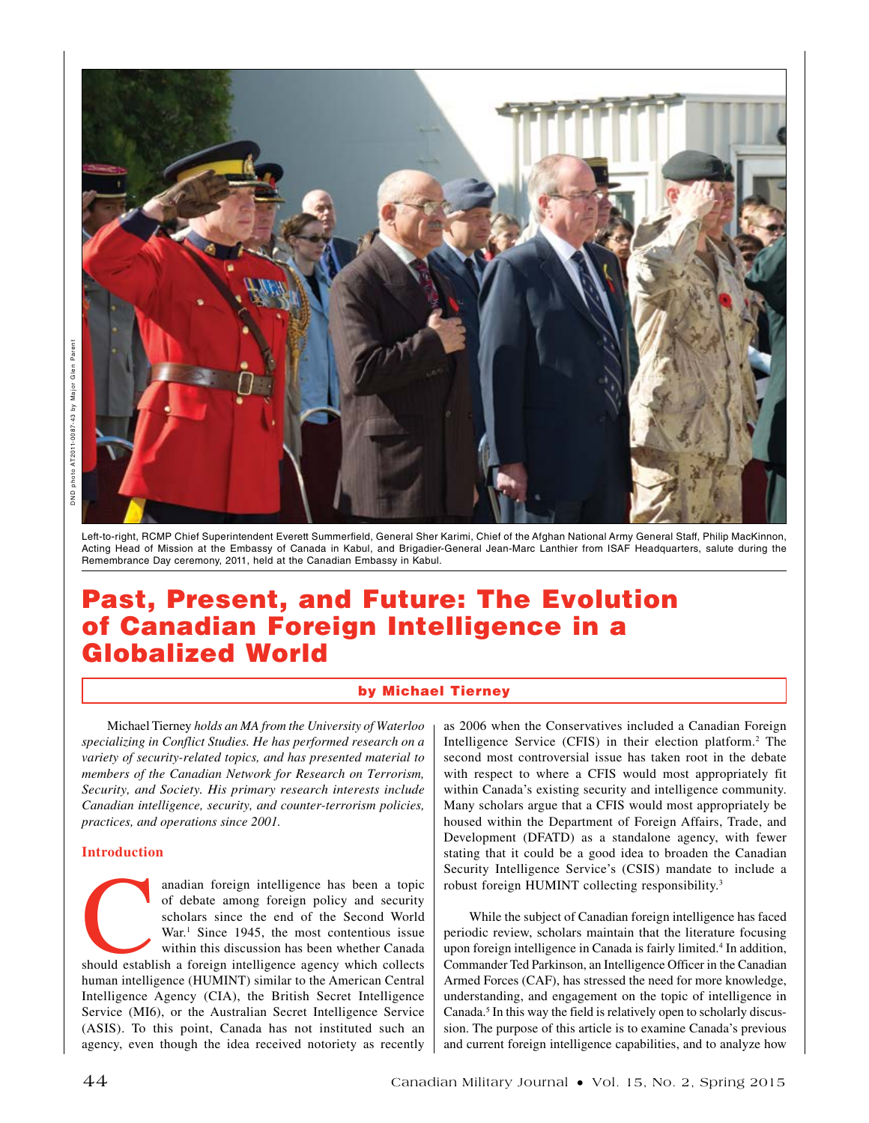

Left-to-right, RCMP Chief Superintendent Everett Summerfield, General Sher Karimi, Chief of the Afghan National Army General Staff, Philip MacKinnon, Acting Head of Mission at the Embassy of Canada in Kabul, and Brigadier-General Jean-Marc Lanthier from ISAF Headquarters, salute during the Remembrance Day ceremony, 2011, held at the Canadian Embassy in Kabul.

# Past, Present, and Future: The Evolution of Canadian Foreign Intelligence in a Globalized World

# by Michael Tierney

Michael Tierney *holds an MA from the University of Waterloo specializing in Conflict Studies. He has performed research on a variety of security-related topics, and has presented material to members of the Canadian Network for Research on Terrorism, Security, and Society. His primary research interests include Canadian intelligence, security, and counter-terrorism policies, practices, and operations since 2001.*

#### **Introduction**

anadian foreign intelligence has been a topic<br>
of debate among foreign policy and security<br>
scholars since the end of the Second World<br>
War.<sup>1</sup> Since 1945, the most contentious issue<br>
within this discussion has been whethe of debate among foreign policy and security scholars since the end of the Second World War.<sup>1</sup> Since 1945, the most contentious issue within this discussion has been whether Canada human intelligence (HUMINT) similar to the American Central Intelligence Agency (CIA), the British Secret Intelligence Service (MI6), or the Australian Secret Intelligence Service (ASIS). To this point, Canada has not instituted such an agency, even though the idea received notoriety as recently

as 2006 when the Conservatives included a Canadian Foreign Intelligence Service (CFIS) in their election platform.<sup>2</sup> The second most controversial issue has taken root in the debate with respect to where a CFIS would most appropriately fit within Canada's existing security and intelligence community. Many scholars argue that a CFIS would most appropriately be housed within the Department of Foreign Affairs, Trade, and Development (DFATD) as a standalone agency, with fewer stating that it could be a good idea to broaden the Canadian Security Intelligence Service's (CSIS) mandate to include a robust foreign HUMINT collecting responsibility.3

While the subject of Canadian foreign intelligence has faced periodic review, scholars maintain that the literature focusing upon foreign intelligence in Canada is fairly limited.4 In addition, Commander Ted Parkinson, an Intelligence Officer in the Canadian Armed Forces (CAF), has stressed the need for more knowledge, understanding, and engagement on the topic of intelligence in Canada.<sup>5</sup> In this way the field is relatively open to scholarly discussion. The purpose of this article is to examine Canada's previous and current foreign intelligence capabilities, and to analyze how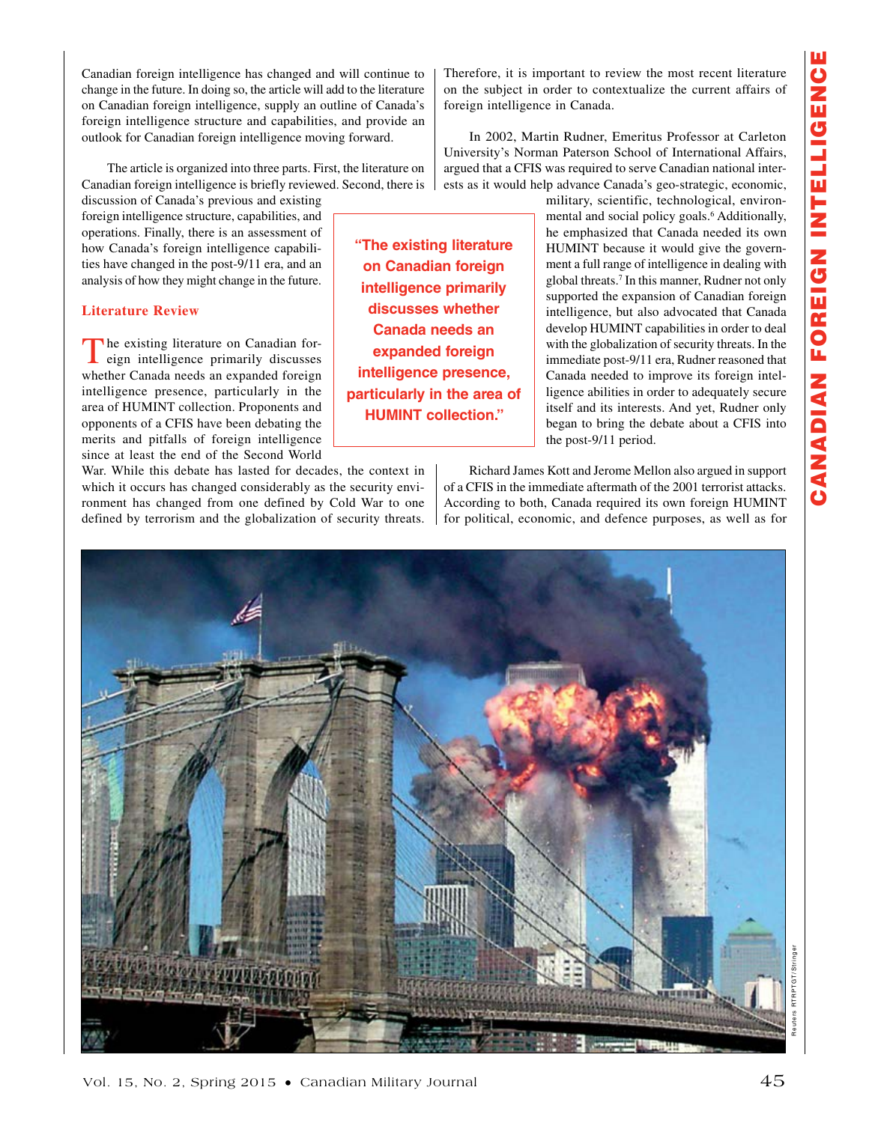Canadian foreign intelligence has changed and will continue to change in the future. In doing so, the article will add to the literature on Canadian foreign intelligence, supply an outline of Canada's foreign intelligence structure and capabilities, and provide an outlook for Canadian foreign intelligence moving forward.

The article is organized into three parts. First, the literature on Canadian foreign intelligence is briefly reviewed. Second, there is

discussion of Canada's previous and existing foreign intelligence structure, capabilities, and operations. Finally, there is an assessment of how Canada's foreign intelligence capabilities have changed in the post-9/11 era, and an analysis of how they might change in the future.

# **Literature Review**

The existing literature on Canadian for-<br>
eign intelligence primarily discusses whether Canada needs an expanded foreign intelligence presence, particularly in the area of HUMINT collection. Proponents and opponents of a CFIS have been debating the merits and pitfalls of foreign intelligence since at least the end of the Second World

War. While this debate has lasted for decades, the context in which it occurs has changed considerably as the security environment has changed from one defined by Cold War to one defined by terrorism and the globalization of security threats.

Therefore, it is important to review the most recent literature on the subject in order to contextualize the current affairs of foreign intelligence in Canada.

In 2002, Martin Rudner, Emeritus Professor at Carleton University's Norman Paterson School of International Affairs, argued that a CFIS was required to serve Canadian national interests as it would help advance Canada's geo-strategic, economic,

> military, scientific, technological, environmental and social policy goals.<sup>6</sup> Additionally, he emphasized that Canada needed its own HUMINT because it would give the government a full range of intelligence in dealing with global threats.7 In this manner, Rudner not only supported the expansion of Canadian foreign intelligence, but also advocated that Canada develop HUMINT capabilities in order to deal with the globalization of security threats. In the immediate post-9/11 era, Rudner reasoned that Canada needed to improve its foreign intelligence abilities in order to adequately secure itself and its interests. And yet, Rudner only began to bring the debate about a CFIS into the post-9/11 period.

Richard James Kott and Jerome Mellon also argued in support of a CFIS in the immediate aftermath of the 2001 terrorist attacks. According to both, Canada required its own foreign HUMINT for political, economic, and defence purposes, as well as for



**"The existing literature on Canadian foreign intelligence primarily discusses whether Canada needs an expanded foreign intelligence presence, particularly in the area of HUMINT collection."**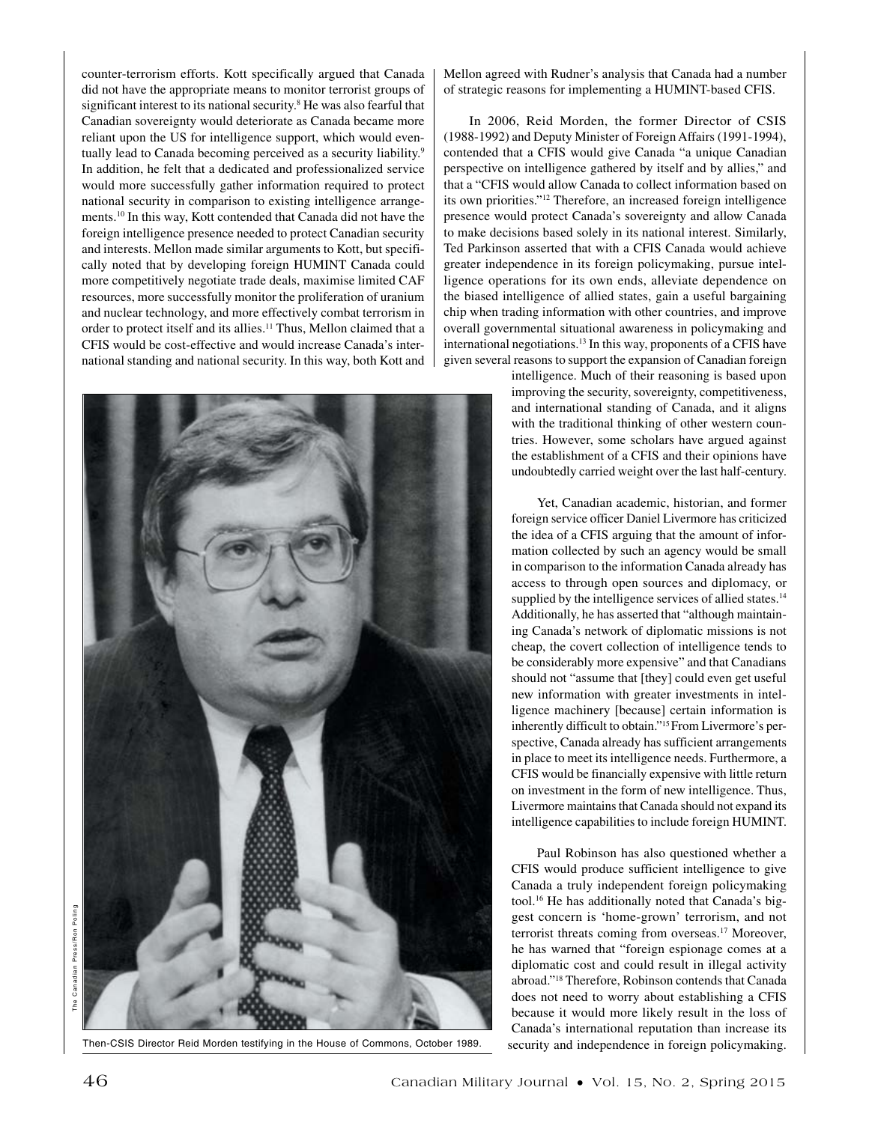counter-terrorism efforts. Kott specifically argued that Canada did not have the appropriate means to monitor terrorist groups of significant interest to its national security.<sup>8</sup> He was also fearful that Canadian sovereignty would deteriorate as Canada became more reliant upon the US for intelligence support, which would eventually lead to Canada becoming perceived as a security liability.<sup>9</sup> In addition, he felt that a dedicated and professionalized service would more successfully gather information required to protect national security in comparison to existing intelligence arrangements.10 In this way, Kott contended that Canada did not have the foreign intelligence presence needed to protect Canadian security and interests. Mellon made similar arguments to Kott, but specifically noted that by developing foreign HUMINT Canada could more competitively negotiate trade deals, maximise limited CAF resources, more successfully monitor the proliferation of uranium and nuclear technology, and more effectively combat terrorism in order to protect itself and its allies.11 Thus, Mellon claimed that a CFIS would be cost-effective and would increase Canada's international standing and national security. In this way, both Kott and



Then-CSIS Director Reid Morden testifying in the House of Commons, October 1989.

Mellon agreed with Rudner's analysis that Canada had a number of strategic reasons for implementing a HUMINT-based CFIS.

In 2006, Reid Morden, the former Director of CSIS (1988-1992) and Deputy Minister of Foreign Affairs (1991-1994), contended that a CFIS would give Canada "a unique Canadian perspective on intelligence gathered by itself and by allies," and that a "CFIS would allow Canada to collect information based on its own priorities."12 Therefore, an increased foreign intelligence presence would protect Canada's sovereignty and allow Canada to make decisions based solely in its national interest. Similarly, Ted Parkinson asserted that with a CFIS Canada would achieve greater independence in its foreign policymaking, pursue intelligence operations for its own ends, alleviate dependence on the biased intelligence of allied states, gain a useful bargaining chip when trading information with other countries, and improve overall governmental situational awareness in policymaking and international negotiations.13 In this way, proponents of a CFIS have given several reasons to support the expansion of Canadian foreign

> intelligence. Much of their reasoning is based upon improving the security, sovereignty, competitiveness, and international standing of Canada, and it aligns with the traditional thinking of other western countries. However, some scholars have argued against the establishment of a CFIS and their opinions have undoubtedly carried weight over the last half-century.

> Yet, Canadian academic, historian, and former foreign service officer Daniel Livermore has criticized the idea of a CFIS arguing that the amount of information collected by such an agency would be small in comparison to the information Canada already has access to through open sources and diplomacy, or supplied by the intelligence services of allied states.<sup>14</sup> Additionally, he has asserted that "although maintaining Canada's network of diplomatic missions is not cheap, the covert collection of intelligence tends to be considerably more expensive" and that Canadians should not "assume that [they] could even get useful new information with greater investments in intelligence machinery [because] certain information is inherently difficult to obtain."15 From Livermore's perspective, Canada already has sufficient arrangements in place to meet its intelligence needs. Furthermore, a CFIS would be financially expensive with little return on investment in the form of new intelligence. Thus, Livermore maintains that Canada should not expand its intelligence capabilities to include foreign HUMINT.

> Paul Robinson has also questioned whether a CFIS would produce sufficient intelligence to give Canada a truly independent foreign policymaking tool.16 He has additionally noted that Canada's biggest concern is 'home-grown' terrorism, and not terrorist threats coming from overseas.17 Moreover, he has warned that "foreign espionage comes at a diplomatic cost and could result in illegal activity abroad."18 Therefore, Robinson contends that Canada does not need to worry about establishing a CFIS because it would more likely result in the loss of Canada's international reputation than increase its security and independence in foreign policymaking.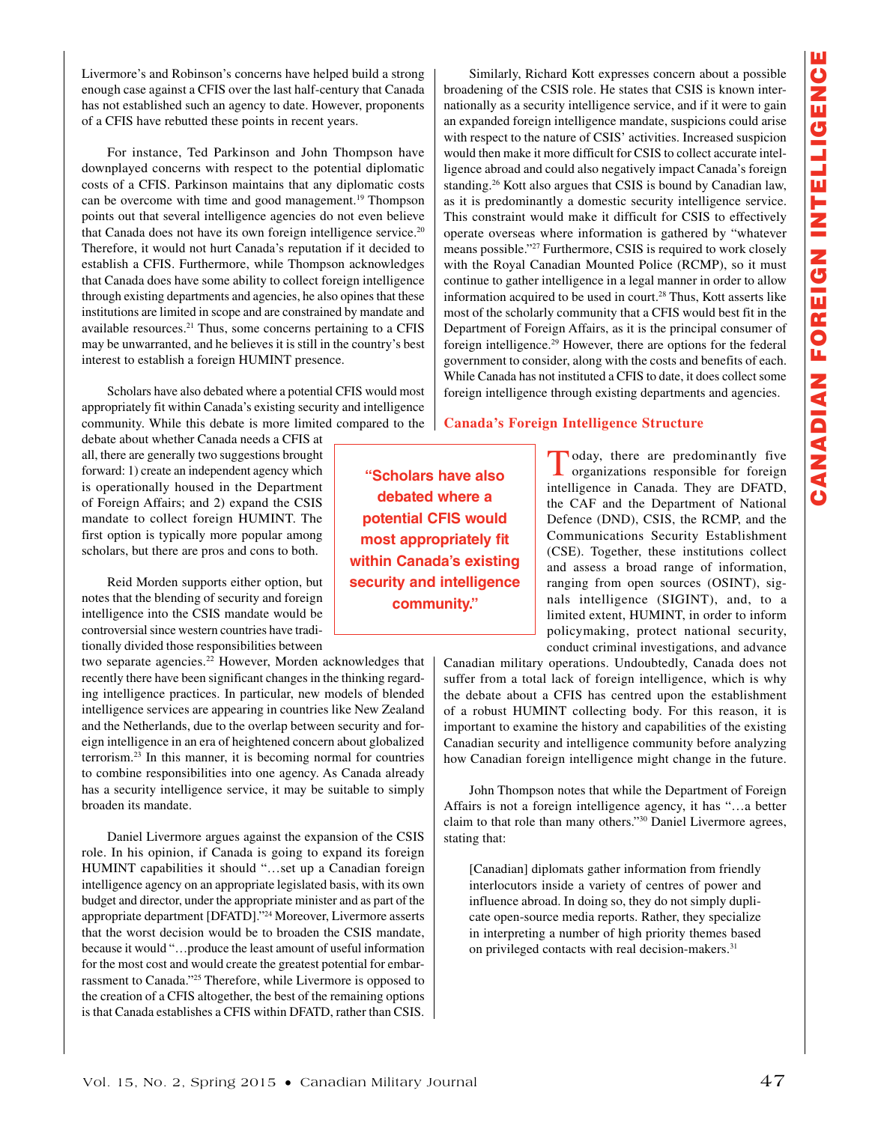Livermore's and Robinson's concerns have helped build a strong enough case against a CFIS over the last half-century that Canada has not established such an agency to date. However, proponents of a CFIS have rebutted these points in recent years.

For instance, Ted Parkinson and John Thompson have downplayed concerns with respect to the potential diplomatic costs of a CFIS. Parkinson maintains that any diplomatic costs can be overcome with time and good management.19 Thompson points out that several intelligence agencies do not even believe that Canada does not have its own foreign intelligence service.<sup>20</sup> Therefore, it would not hurt Canada's reputation if it decided to establish a CFIS. Furthermore, while Thompson acknowledges that Canada does have some ability to collect foreign intelligence through existing departments and agencies, he also opines that these institutions are limited in scope and are constrained by mandate and available resources.<sup>21</sup> Thus, some concerns pertaining to a CFIS may be unwarranted, and he believes it is still in the country's best interest to establish a foreign HUMINT presence.

Scholars have also debated where a potential CFIS would most appropriately fit within Canada's existing security and intelligence community. While this debate is more limited compared to the

debate about whether Canada needs a CFIS at all, there are generally two suggestions brought forward: 1) create an independent agency which is operationally housed in the Department of Foreign Affairs; and 2) expand the CSIS mandate to collect foreign HUMINT. The first option is typically more popular among scholars, but there are pros and cons to both.

Reid Morden supports either option, but notes that the blending of security and foreign intelligence into the CSIS mandate would be controversial since western countries have traditionally divided those responsibilities between

two separate agencies.<sup>22</sup> However, Morden acknowledges that recently there have been significant changes in the thinking regarding intelligence practices. In particular, new models of blended intelligence services are appearing in countries like New Zealand and the Netherlands, due to the overlap between security and foreign intelligence in an era of heightened concern about globalized terrorism.23 In this manner, it is becoming normal for countries to combine responsibilities into one agency. As Canada already has a security intelligence service, it may be suitable to simply broaden its mandate.

Daniel Livermore argues against the expansion of the CSIS role. In his opinion, if Canada is going to expand its foreign HUMINT capabilities it should "…set up a Canadian foreign intelligence agency on an appropriate legislated basis, with its own budget and director, under the appropriate minister and as part of the appropriate department [DFATD]."24 Moreover, Livermore asserts that the worst decision would be to broaden the CSIS mandate, because it would "…produce the least amount of useful information for the most cost and would create the greatest potential for embarrassment to Canada."25 Therefore, while Livermore is opposed to the creation of a CFIS altogether, the best of the remaining options is that Canada establishes a CFIS within DFATD, rather than CSIS.

Similarly, Richard Kott expresses concern about a possible broadening of the CSIS role. He states that CSIS is known internationally as a security intelligence service, and if it were to gain an expanded foreign intelligence mandate, suspicions could arise with respect to the nature of CSIS' activities. Increased suspicion would then make it more difficult for CSIS to collect accurate intelligence abroad and could also negatively impact Canada's foreign standing.26 Kott also argues that CSIS is bound by Canadian law, as it is predominantly a domestic security intelligence service. This constraint would make it difficult for CSIS to effectively operate overseas where information is gathered by "whatever means possible."27 Furthermore, CSIS is required to work closely with the Royal Canadian Mounted Police (RCMP), so it must continue to gather intelligence in a legal manner in order to allow information acquired to be used in court.<sup>28</sup> Thus, Kott asserts like most of the scholarly community that a CFIS would best fit in the Department of Foreign Affairs, as it is the principal consumer of foreign intelligence.29 However, there are options for the federal government to consider, along with the costs and benefits of each. While Canada has not instituted a CFIS to date, it does collect some foreign intelligence through existing departments and agencies.

## **Canada's Foreign Intelligence Structure**

**"Scholars have also debated where a potential CFIS would most appropriately fit within Canada's existing security and intelligence community."**

Today, there are predominantly five organizations responsible for foreign intelligence in Canada. They are DFATD, the CAF and the Department of National Defence (DND), CSIS, the RCMP, and the Communications Security Establishment (CSE). Together, these institutions collect and assess a broad range of information, ranging from open sources (OSINT), signals intelligence (SIGINT), and, to a limited extent, HUMINT, in order to inform policymaking, protect national security, conduct criminal investigations, and advance

Canadian military operations. Undoubtedly, Canada does not suffer from a total lack of foreign intelligence, which is why the debate about a CFIS has centred upon the establishment of a robust HUMINT collecting body. For this reason, it is important to examine the history and capabilities of the existing Canadian security and intelligence community before analyzing how Canadian foreign intelligence might change in the future.

John Thompson notes that while the Department of Foreign Affairs is not a foreign intelligence agency, it has "…a better claim to that role than many others."30 Daniel Livermore agrees, stating that:

[Canadian] diplomats gather information from friendly interlocutors inside a variety of centres of power and influence abroad. In doing so, they do not simply duplicate open-source media reports. Rather, they specialize in interpreting a number of high priority themes based on privileged contacts with real decision-makers.<sup>31</sup>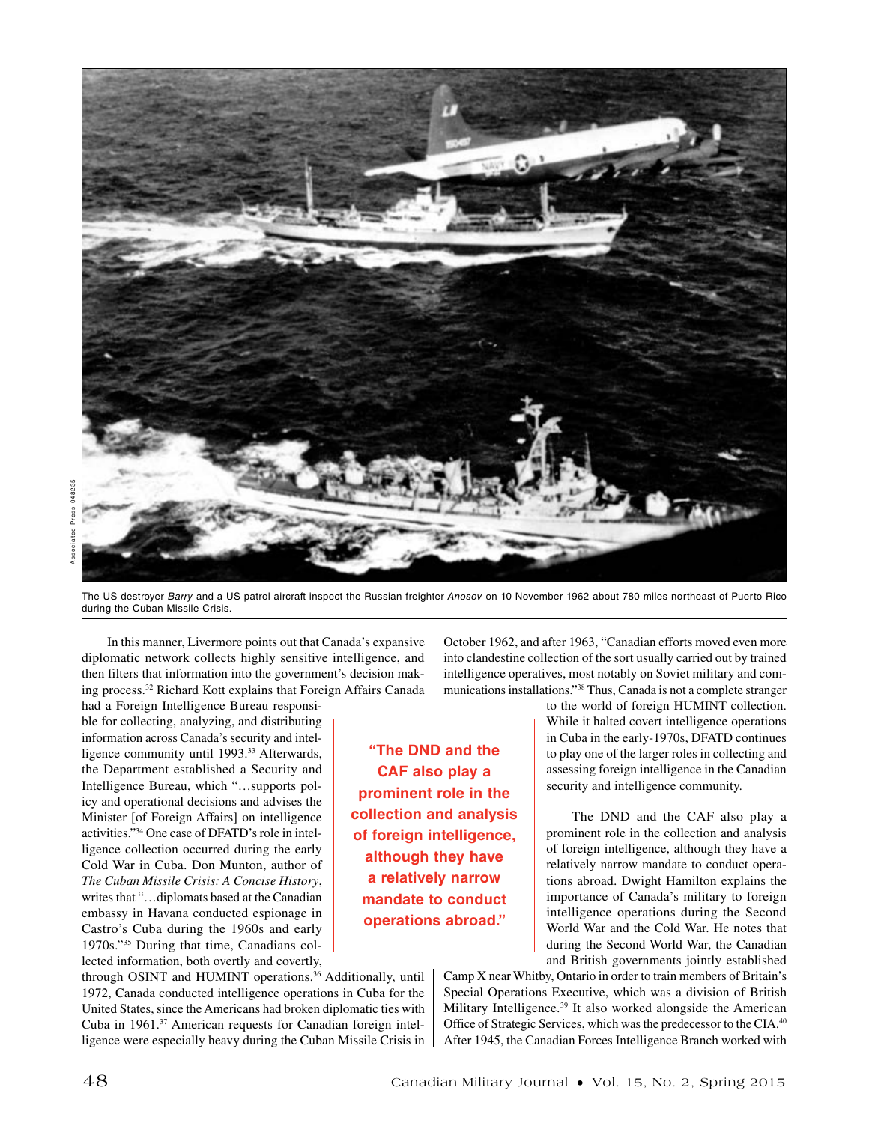

The US destroyer *Barry* and a US patrol aircraft inspect the Russian freighter *Anosov* on 10 November 1962 about 780 miles northeast of Puerto Rico during the Cuban Missile Crisis.

In this manner, Livermore points out that Canada's expansive diplomatic network collects highly sensitive intelligence, and then filters that information into the government's decision making process.32 Richard Kott explains that Foreign Affairs Canada

had a Foreign Intelligence Bureau responsible for collecting, analyzing, and distributing information across Canada's security and intelligence community until 1993.<sup>33</sup> Afterwards, the Department established a Security and Intelligence Bureau, which "…supports policy and operational decisions and advises the Minister [of Foreign Affairs] on intelligence activities."34 One case of DFATD's role in intelligence collection occurred during the early Cold War in Cuba. Don Munton, author of *The Cuban Missile Crisis: A Concise History*, writes that "…diplomats based at the Canadian embassy in Havana conducted espionage in Castro's Cuba during the 1960s and early 1970s."35 During that time, Canadians collected information, both overtly and covertly,

through OSINT and HUMINT operations.36 Additionally, until 1972, Canada conducted intelligence operations in Cuba for the United States, since the Americans had broken diplomatic ties with Cuba in 1961.37 American requests for Canadian foreign intelligence were especially heavy during the Cuban Missile Crisis in October 1962, and after 1963, "Canadian efforts moved even more into clandestine collection of the sort usually carried out by trained intelligence operatives, most notably on Soviet military and communications installations."38 Thus, Canada is not a complete stranger

**"The DND and the CAF also play a prominent role in the collection and analysis of foreign intelligence, although they have a relatively narrow mandate to conduct operations abroad."**

to the world of foreign HUMINT collection. While it halted covert intelligence operations in Cuba in the early-1970s, DFATD continues to play one of the larger roles in collecting and assessing foreign intelligence in the Canadian security and intelligence community.

The DND and the CAF also play a prominent role in the collection and analysis of foreign intelligence, although they have a relatively narrow mandate to conduct operations abroad. Dwight Hamilton explains the importance of Canada's military to foreign intelligence operations during the Second World War and the Cold War. He notes that during the Second World War, the Canadian and British governments jointly established

Camp X near Whitby, Ontario in order to train members of Britain's Special Operations Executive, which was a division of British Military Intelligence.39 It also worked alongside the American Office of Strategic Services, which was the predecessor to the CIA.40 After 1945, the Canadian Forces Intelligence Branch worked with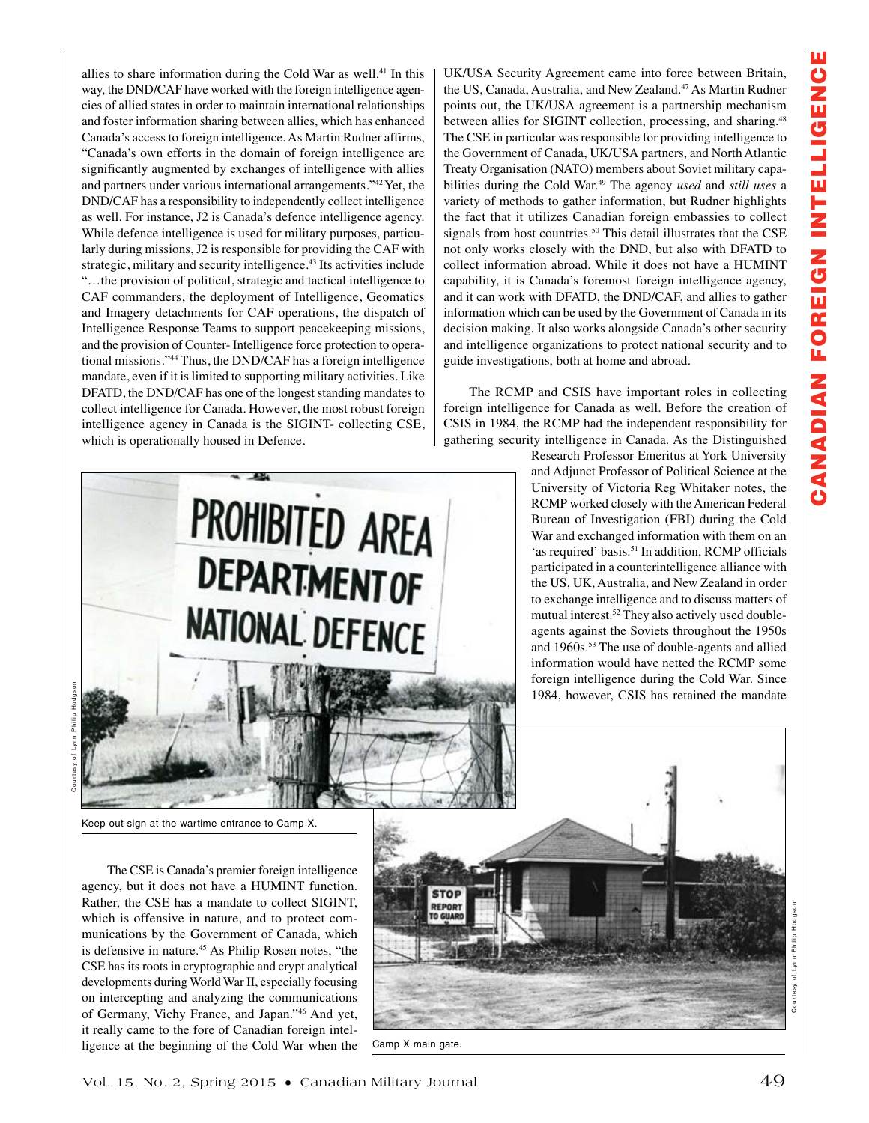allies to share information during the Cold War as well.41 In this way, the DND/CAF have worked with the foreign intelligence agencies of allied states in order to maintain international relationships and foster information sharing between allies, which has enhanced Canada's access to foreign intelligence. As Martin Rudner affirms, "Canada's own efforts in the domain of foreign intelligence are significantly augmented by exchanges of intelligence with allies and partners under various international arrangements."42 Yet, the DND/CAF has a responsibility to independently collect intelligence as well. For instance, J2 is Canada's defence intelligence agency. While defence intelligence is used for military purposes, particularly during missions, J2 is responsible for providing the CAF with strategic, military and security intelligence.<sup>43</sup> Its activities include "…the provision of political, strategic and tactical intelligence to CAF commanders, the deployment of Intelligence, Geomatics and Imagery detachments for CAF operations, the dispatch of Intelligence Response Teams to support peacekeeping missions, and the provision of Counter- Intelligence force protection to operational missions."44 Thus, the DND/CAF has a foreign intelligence mandate, even if it is limited to supporting military activities. Like DFATD, the DND/CAF has one of the longest standing mandates to collect intelligence for Canada. However, the most robust foreign intelligence agency in Canada is the SIGINT- collecting CSE, which is operationally housed in Defence.



The RCMP and CSIS have important roles in collecting foreign intelligence for Canada as well. Before the creation of CSIS in 1984, the RCMP had the independent responsibility for gathering security intelligence in Canada. As the Distinguished

> Research Professor Emeritus at York University and Adjunct Professor of Political Science at the University of Victoria Reg Whitaker notes, the RCMP worked closely with the American Federal Bureau of Investigation (FBI) during the Cold War and exchanged information with them on an 'as required' basis.<sup>51</sup> In addition, RCMP officials participated in a counterintelligence alliance with the US, UK, Australia, and New Zealand in order to exchange intelligence and to discuss matters of mutual interest.<sup>52</sup> They also actively used doubleagents against the Soviets throughout the 1950s and 1960s.53 The use of double-agents and allied information would have netted the RCMP some foreign intelligence during the Cold War. Since 1984, however, CSIS has retained the mandate



Keep out sign at the wartime entrance to Camp X.

The CSE is Canada's premier foreign intelligence agency, but it does not have a HUMINT function. Rather, the CSE has a mandate to collect SIGINT, which is offensive in nature, and to protect communications by the Government of Canada, which is defensive in nature.<sup>45</sup> As Philip Rosen notes, "the CSE has its roots in cryptographic and crypt analytical developments during World War II, especially focusing on intercepting and analyzing the communications of Germany, Vichy France, and Japan."46 And yet, it really came to the fore of Canadian foreign intelligence at the beginning of the Cold War when the



Camp X main gate.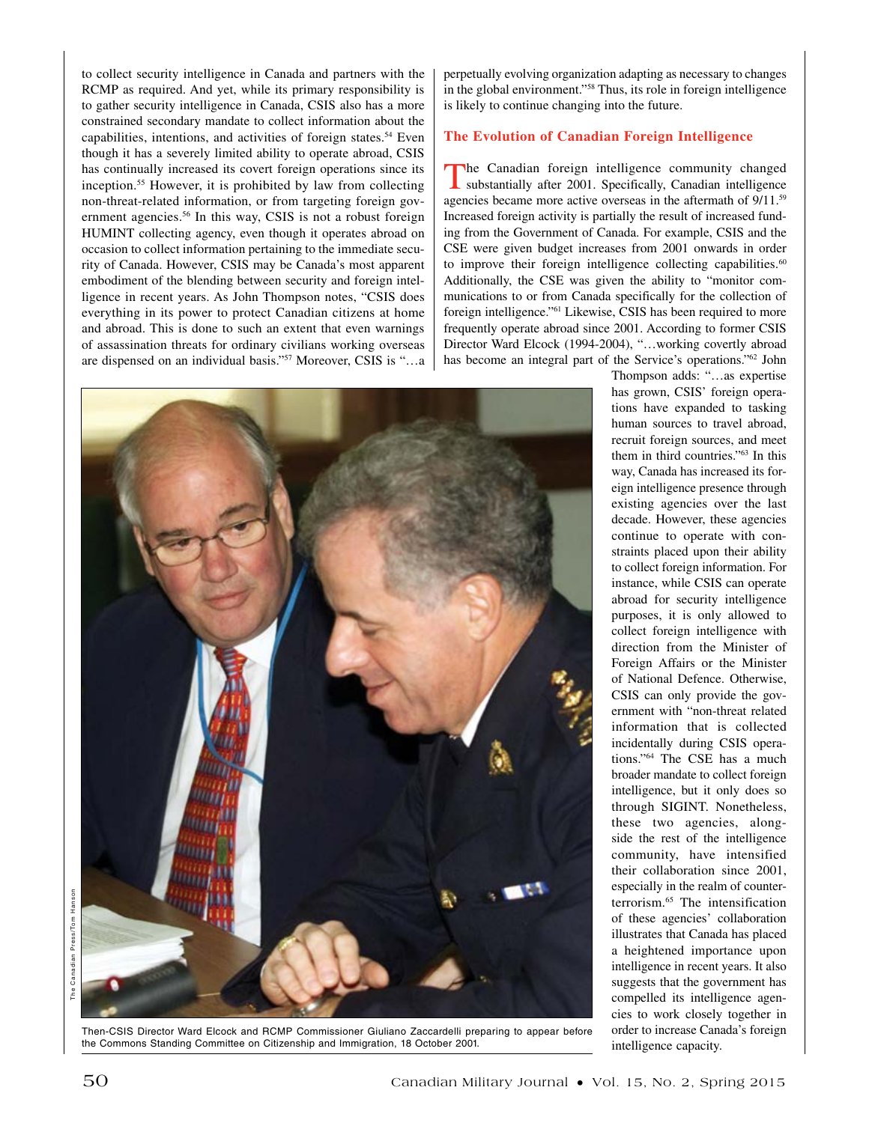to collect security intelligence in Canada and partners with the RCMP as required. And yet, while its primary responsibility is to gather security intelligence in Canada, CSIS also has a more constrained secondary mandate to collect information about the capabilities, intentions, and activities of foreign states.<sup>54</sup> Even though it has a severely limited ability to operate abroad, CSIS has continually increased its covert foreign operations since its inception.55 However, it is prohibited by law from collecting non-threat-related information, or from targeting foreign government agencies.<sup>56</sup> In this way, CSIS is not a robust foreign HUMINT collecting agency, even though it operates abroad on occasion to collect information pertaining to the immediate security of Canada. However, CSIS may be Canada's most apparent embodiment of the blending between security and foreign intelligence in recent years. As John Thompson notes, "CSIS does everything in its power to protect Canadian citizens at home and abroad. This is done to such an extent that even warnings of assassination threats for ordinary civilians working overseas are dispensed on an individual basis."57 Moreover, CSIS is "…a perpetually evolving organization adapting as necessary to changes in the global environment."58 Thus, its role in foreign intelligence is likely to continue changing into the future.

# **The Evolution of Canadian Foreign Intelligence**

The Canadian foreign intelligence community changed substantially after 2001. Specifically, Canadian intelligence agencies became more active overseas in the aftermath of 9/11.59 Increased foreign activity is partially the result of increased funding from the Government of Canada. For example, CSIS and the CSE were given budget increases from 2001 onwards in order to improve their foreign intelligence collecting capabilities.<sup>60</sup> Additionally, the CSE was given the ability to "monitor communications to or from Canada specifically for the collection of foreign intelligence."61 Likewise, CSIS has been required to more frequently operate abroad since 2001. According to former CSIS Director Ward Elcock (1994-2004), "…working covertly abroad has become an integral part of the Service's operations."62 John



Then-CSIS Director Ward Elcock and RCMP Commissioner Giuliano Zaccardelli preparing to appear before the Commons Standing Committee on Citizenship and Immigration, 18 October 2001.

Thompson adds: "…as expertise has grown, CSIS' foreign operations have expanded to tasking human sources to travel abroad, recruit foreign sources, and meet them in third countries."63 In this way, Canada has increased its foreign intelligence presence through existing agencies over the last decade. However, these agencies continue to operate with constraints placed upon their ability to collect foreign information. For instance, while CSIS can operate abroad for security intelligence purposes, it is only allowed to collect foreign intelligence with direction from the Minister of Foreign Affairs or the Minister of National Defence. Otherwise, CSIS can only provide the government with "non-threat related information that is collected incidentally during CSIS operations."64 The CSE has a much broader mandate to collect foreign intelligence, but it only does so through SIGINT. Nonetheless, these two agencies, alongside the rest of the intelligence community, have intensified their collaboration since 2001, especially in the realm of counterterrorism.65 The intensification of these agencies' collaboration illustrates that Canada has placed a heightened importance upon intelligence in recent years. It also suggests that the government has compelled its intelligence agencies to work closely together in order to increase Canada's foreign intelligence capacity.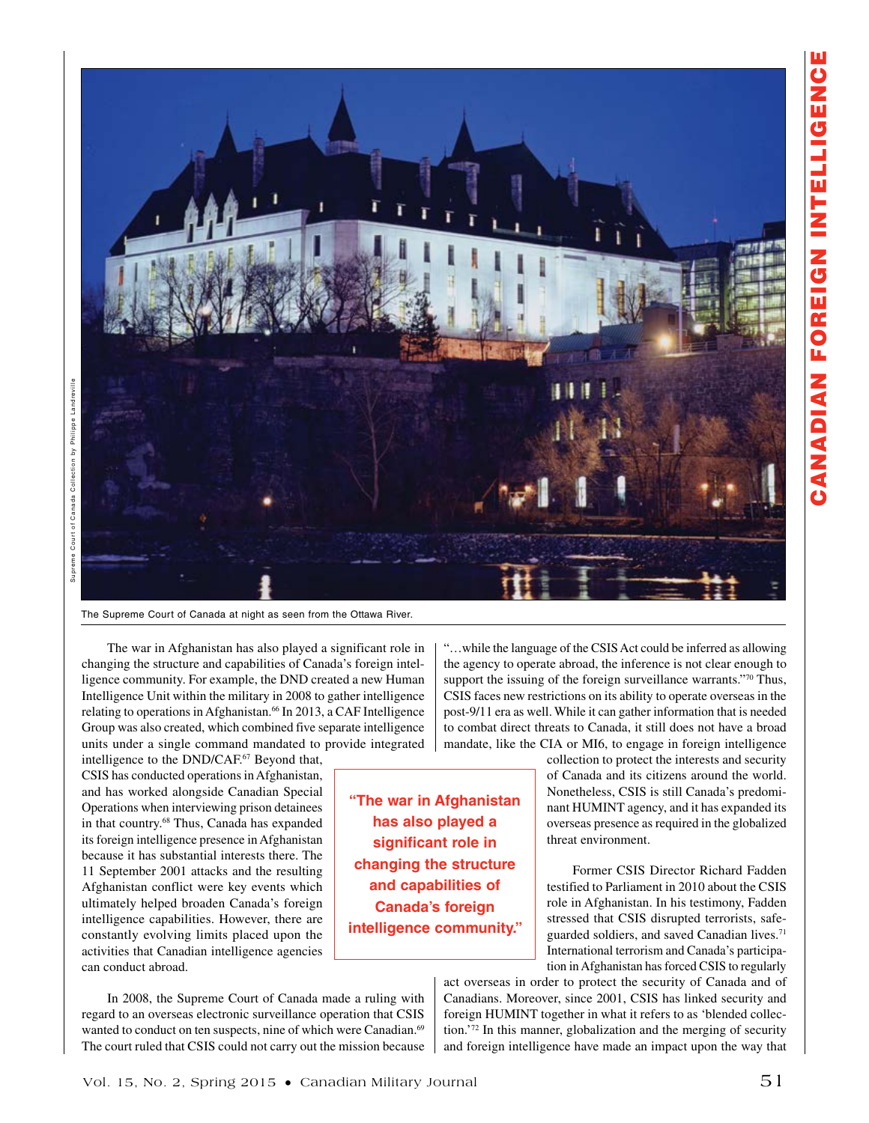

Supreme Court of Canada Collection by Philippe Landreville Supreme Court of Canada Collection by Philippe Landreville

The Supreme Court of Canada at night as seen from the Ottawa River.

The war in Afghanistan has also played a significant role in changing the structure and capabilities of Canada's foreign intelligence community. For example, the DND created a new Human Intelligence Unit within the military in 2008 to gather intelligence relating to operations in Afghanistan.<sup>66</sup> In 2013, a CAF Intelligence Group was also created, which combined five separate intelligence units under a single command mandated to provide integrated

intelligence to the DND/CAF.<sup>67</sup> Beyond that, CSIS has conducted operations in Afghanistan, and has worked alongside Canadian Special Operations when interviewing prison detainees in that country.68 Thus, Canada has expanded its foreign intelligence presence in Afghanistan because it has substantial interests there. The 11 September 2001 attacks and the resulting Afghanistan conflict were key events which ultimately helped broaden Canada's foreign intelligence capabilities. However, there are constantly evolving limits placed upon the activities that Canadian intelligence agencies can conduct abroad.

In 2008, the Supreme Court of Canada made a ruling with regard to an overseas electronic surveillance operation that CSIS wanted to conduct on ten suspects, nine of which were Canadian.<sup>69</sup> The court ruled that CSIS could not carry out the mission because "…while the language of the CSIS Act could be inferred as allowing the agency to operate abroad, the inference is not clear enough to support the issuing of the foreign surveillance warrants."70 Thus, CSIS faces new restrictions on its ability to operate overseas in the post-9/11 era as well. While it can gather information that is needed to combat direct threats to Canada, it still does not have a broad mandate, like the CIA or MI6, to engage in foreign intelligence

**"The war in Afghanistan has also played a significant role in changing the structure and capabilities of Canada's foreign intelligence community."**

collection to protect the interests and security of Canada and its citizens around the world. Nonetheless, CSIS is still Canada's predominant HUMINT agency, and it has expanded its overseas presence as required in the globalized threat environment.

Former CSIS Director Richard Fadden testified to Parliament in 2010 about the CSIS role in Afghanistan. In his testimony, Fadden stressed that CSIS disrupted terrorists, safeguarded soldiers, and saved Canadian lives.<sup>71</sup> International terrorism and Canada's participation in Afghanistan has forced CSIS to regularly

act overseas in order to protect the security of Canada and of Canadians. Moreover, since 2001, CSIS has linked security and foreign HUMINT together in what it refers to as 'blended collection.'72 In this manner, globalization and the merging of security and foreign intelligence have made an impact upon the way that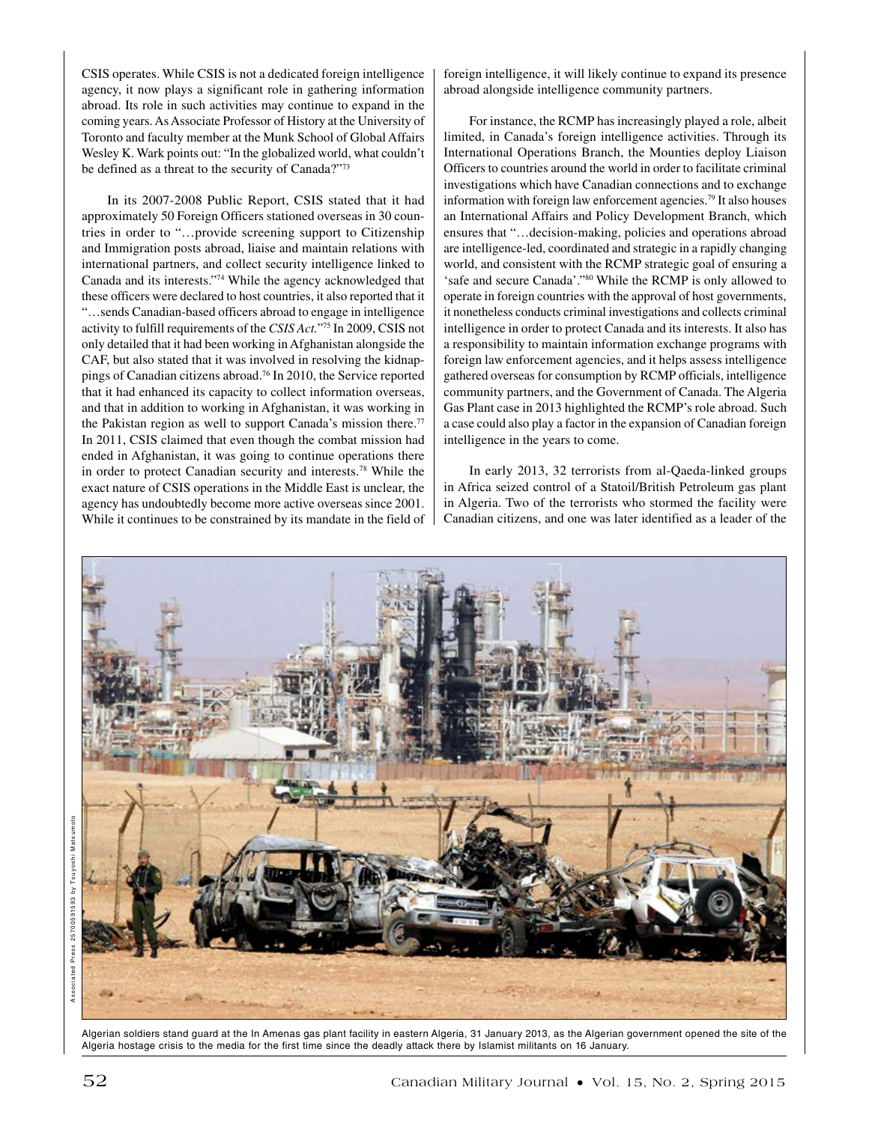CSIS operates. While CSIS is not a dedicated foreign intelligence agency, it now plays a significant role in gathering information abroad. Its role in such activities may continue to expand in the coming years. As Associate Professor of History at the University of Toronto and faculty member at the Munk School of Global Affairs Wesley K. Wark points out: "In the globalized world, what couldn't be defined as a threat to the security of Canada?"73

In its 2007-2008 Public Report, CSIS stated that it had approximately 50 Foreign Officers stationed overseas in 30 countries in order to "…provide screening support to Citizenship and Immigration posts abroad, liaise and maintain relations with international partners, and collect security intelligence linked to Canada and its interests."74 While the agency acknowledged that these officers were declared to host countries, it also reported that it "…sends Canadian-based officers abroad to engage in intelligence activity to fulfill requirements of the *CSIS Act.*"75 In 2009, CSIS not only detailed that it had been working in Afghanistan alongside the CAF, but also stated that it was involved in resolving the kidnappings of Canadian citizens abroad.76 In 2010, the Service reported that it had enhanced its capacity to collect information overseas, and that in addition to working in Afghanistan, it was working in the Pakistan region as well to support Canada's mission there.<sup>77</sup> In 2011, CSIS claimed that even though the combat mission had ended in Afghanistan, it was going to continue operations there in order to protect Canadian security and interests.78 While the exact nature of CSIS operations in the Middle East is unclear, the agency has undoubtedly become more active overseas since 2001. While it continues to be constrained by its mandate in the field of foreign intelligence, it will likely continue to expand its presence abroad alongside intelligence community partners.

For instance, the RCMP has increasingly played a role, albeit limited, in Canada's foreign intelligence activities. Through its International Operations Branch, the Mounties deploy Liaison Officers to countries around the world in order to facilitate criminal investigations which have Canadian connections and to exchange information with foreign law enforcement agencies.79 It also houses an International Affairs and Policy Development Branch, which ensures that "…decision-making, policies and operations abroad are intelligence-led, coordinated and strategic in a rapidly changing world, and consistent with the RCMP strategic goal of ensuring a 'safe and secure Canada'."80 While the RCMP is only allowed to operate in foreign countries with the approval of host governments, it nonetheless conducts criminal investigations and collects criminal intelligence in order to protect Canada and its interests. It also has a responsibility to maintain information exchange programs with foreign law enforcement agencies, and it helps assess intelligence gathered overseas for consumption by RCMP officials, intelligence community partners, and the Government of Canada. The Algeria Gas Plant case in 2013 highlighted the RCMP's role abroad. Such a case could also play a factor in the expansion of Canadian foreign intelligence in the years to come.

In early 2013, 32 terrorists from al-Qaeda-linked groups in Africa seized control of a Statoil/British Petroleum gas plant in Algeria. Two of the terrorists who stormed the facility were Canadian citizens, and one was later identified as a leader of the



Algerian soldiers stand guard at the In Amenas gas plant facility in eastern Algeria, 31 January 2013, as the Algerian government opened the site of the Algeria hostage crisis to the media for the first time since the deadly attack there by Islamist militants on 16 January.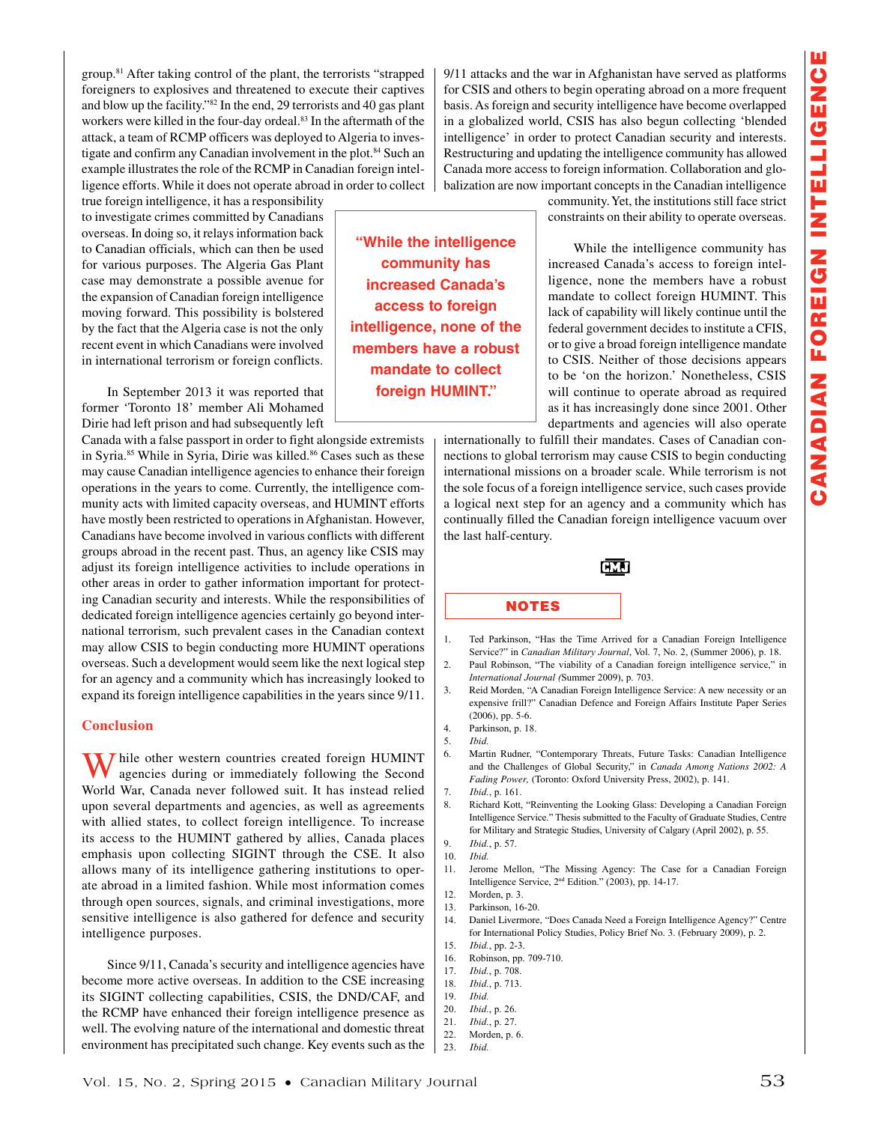group.81 After taking control of the plant, the terrorists "strapped foreigners to explosives and threatened to execute their captives and blow up the facility."82 In the end, 29 terrorists and 40 gas plant workers were killed in the four-day ordeal.<sup>83</sup> In the aftermath of the attack, a team of RCMP officers was deployed to Algeria to investigate and confirm any Canadian involvement in the plot.<sup>84</sup> Such an example illustrates the role of the RCMP in Canadian foreign intelligence efforts. While it does not operate abroad in order to collect

true foreign intelligence, it has a responsibility to investigate crimes committed by Canadians overseas. In doing so, it relays information back to Canadian officials, which can then be used for various purposes. The Algeria Gas Plant case may demonstrate a possible avenue for the expansion of Canadian foreign intelligence moving forward. This possibility is bolstered by the fact that the Algeria case is not the only recent event in which Canadians were involved in international terrorism or foreign conflicts.

In September 2013 it was reported that former 'Toronto 18' member Ali Mohamed Dirie had left prison and had subsequently left

Canada with a false passport in order to fight alongside extremists in Syria.85 While in Syria, Dirie was killed.86 Cases such as these may cause Canadian intelligence agencies to enhance their foreign operations in the years to come. Currently, the intelligence community acts with limited capacity overseas, and HUMINT efforts have mostly been restricted to operations in Afghanistan. However, Canadians have become involved in various conflicts with different groups abroad in the recent past. Thus, an agency like CSIS may adjust its foreign intelligence activities to include operations in other areas in order to gather information important for protecting Canadian security and interests. While the responsibilities of dedicated foreign intelligence agencies certainly go beyond international terrorism, such prevalent cases in the Canadian context may allow CSIS to begin conducting more HUMINT operations overseas. Such a development would seem like the next logical step for an agency and a community which has increasingly looked to expand its foreign intelligence capabilities in the years since 9/11.

## **Conclusion**

**T** hile other western countries created foreign HUMINT agencies during or immediately following the Second World War, Canada never followed suit. It has instead relied upon several departments and agencies, as well as agreements with allied states, to collect foreign intelligence. To increase its access to the HUMINT gathered by allies, Canada places emphasis upon collecting SIGINT through the CSE. It also allows many of its intelligence gathering institutions to operate abroad in a limited fashion. While most information comes through open sources, signals, and criminal investigations, more sensitive intelligence is also gathered for defence and security intelligence purposes.

Since 9/11, Canada's security and intelligence agencies have become more active overseas. In addition to the CSE increasing its SIGINT collecting capabilities, CSIS, the DND/CAF, and the RCMP have enhanced their foreign intelligence presence as well. The evolving nature of the international and domestic threat environment has precipitated such change. Key events such as the

**"While the intelligence community has increased Canada's access to foreign intelligence, none of the members have a robust mandate to collect foreign HUMINT."**

9/11 attacks and the war in Afghanistan have served as platforms for CSIS and others to begin operating abroad on a more frequent basis. As foreign and security intelligence have become overlapped in a globalized world, CSIS has also begun collecting 'blended intelligence' in order to protect Canadian security and interests. Restructuring and updating the intelligence community has allowed Canada more access to foreign information. Collaboration and globalization are now important concepts in the Canadian intelligence

> community. Yet, the institutions still face strict constraints on their ability to operate overseas.

> While the intelligence community has increased Canada's access to foreign intelligence, none the members have a robust mandate to collect foreign HUMINT. This lack of capability will likely continue until the federal government decides to institute a CFIS, or to give a broad foreign intelligence mandate to CSIS. Neither of those decisions appears to be 'on the horizon.' Nonetheless, CSIS will continue to operate abroad as required as it has increasingly done since 2001. Other departments and agencies will also operate

internationally to fulfill their mandates. Cases of Canadian connections to global terrorism may cause CSIS to begin conducting international missions on a broader scale. While terrorism is not the sole focus of a foreign intelligence service, such cases provide a logical next step for an agency and a community which has continually filled the Canadian foreign intelligence vacuum over the last half-century.

**CMJ** 

### NOTES

- 1. Ted Parkinson, "Has the Time Arrived for a Canadian Foreign Intelligence Service?" in *Canadian Military Journal*, Vol. 7, No. 2, (Summer 2006), p. 18.
- 2. Paul Robinson, "The viability of a Canadian foreign intelligence service," in *International Journal (*Summer 2009), p. 703.
- 3. Reid Morden, "A Canadian Foreign Intelligence Service: A new necessity or an expensive frill?" Canadian Defence and Foreign Affairs Institute Paper Series (2006), pp. 5-6.
- 4. Parkinson, p. 18.
- 5. <sup>I</sup>*bid.*
- 6. Martin Rudner, "Contemporary Threats, Future Tasks: Canadian Intelligence and the Challenges of Global Security," in *Canada Among Nations 2002: A Fading Power,* (Toronto: Oxford University Press, 2002), p. 141.
- 7. <sup>I</sup>*bid.*, p. 161.
- 8. Richard Kott, "Reinventing the Looking Glass: Developing a Canadian Foreign Intelligence Service." Thesis submitted to the Faculty of Graduate Studies, Centre for Military and Strategic Studies, University of Calgary (April 2002), p. 55.
- 9. <sup>I</sup>*bid.*, p. 57.
- 10. <sup>I</sup>*bid.*
- 11. Jerome Mellon, "The Missing Agency: The Case for a Canadian Foreign Intelligence Service, 2nd Edition." (2003), pp. 14-17.

- 13. Parkinson, 16-20.
- 14. Daniel Livermore, "Does Canada Need a Foreign Intelligence Agency?" Centre for International Policy Studies, Policy Brief No. 3. (February 2009), p. 2.
- 15. <sup>I</sup>*bid.*, pp. 2-3.
- 16. Robinson, pp. 709-710.
- 17. <sup>I</sup>*bid.*, p. 708.
- 18. <sup>I</sup>*bid.*, p. 713. 19. <sup>I</sup>*bid.*
	-
- 20. <sup>I</sup>*bid.*, p. 26.
- 21. <sup>I</sup>*bid.*, p. 27.
- 22. Morden, p. 6.
- 23. <sup>I</sup>*bid.*

<sup>12.</sup> Morden, p. 3.